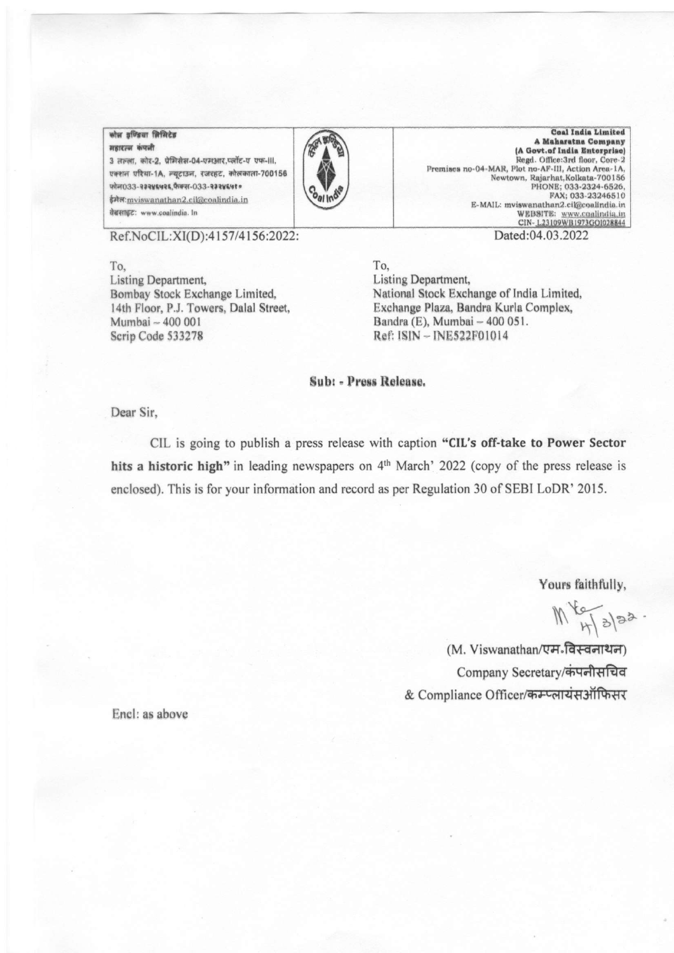## कोल इण्डिया लिसिटेड शहारत्न कंपनी

3 लल्ला, कोर-2, प्रेमिसेस-04-एमआर,प्लॉट-ए एफ-III, एक्शन एरिया-1A, न्यूटाउन, रजरहट, कोलकाला-700156 फोल033-२३२४६५२६,फैक्स-033-२३२४६५१० ईमेल: mviswanathan2.cil@coalindia.in वेबसाइट: www.coalindia. In



**Coal India Limited** A Maharatna Company (A Govt.of India Enterprise) Regd. Office:3rd floor, Core-2 Premises no-04-MAR, Plot no-AF-III, Action Area-1A, Newtown, Rajarhat, Kolkata-700156 PHONE; 033-2324-6526,<br>FAX; 033-23246510 E-MAIL: mviswanathan2.ci@coalindia.in WEBSITE: www.coalindia.in CIN-L23109WB1973GOI028844 Dated:04.03.2022

Ref.NoCIL:XI(D):4157/4156:2022:

To. Listing Department, Bombay Stock Exchange Limited, 14th Floor, P.J. Towers, Dalal Street, Mumbai ~ 400 001 Scrip Code 533278

To, Listing Department, National Stock Exchange of India Limited, Exchange Plaza, Bandra Kurla Complex, Bandra (E), Mumbai - 400 051. Ref: ISIN - INE522F01014

Sub: - Press Release.

Dear Sir,

CIL is going to publish a press release with caption "CIL's off-take to Power Sector" hits a historic high" in leading newspapers on 4<sup>th</sup> March' 2022 (copy of the press release is enclosed). This is for your information and record as per Regulation 30 of SEBI LoDR' 2015.

Yours faithfully,

 $M_{H392}$ 

(M. Viswanathan/एम.विस्वनाथन) Company Secretary/कंपनीसचिव & Compliance Officer/कम्प्लायंसऑफिसर

Encl: as above